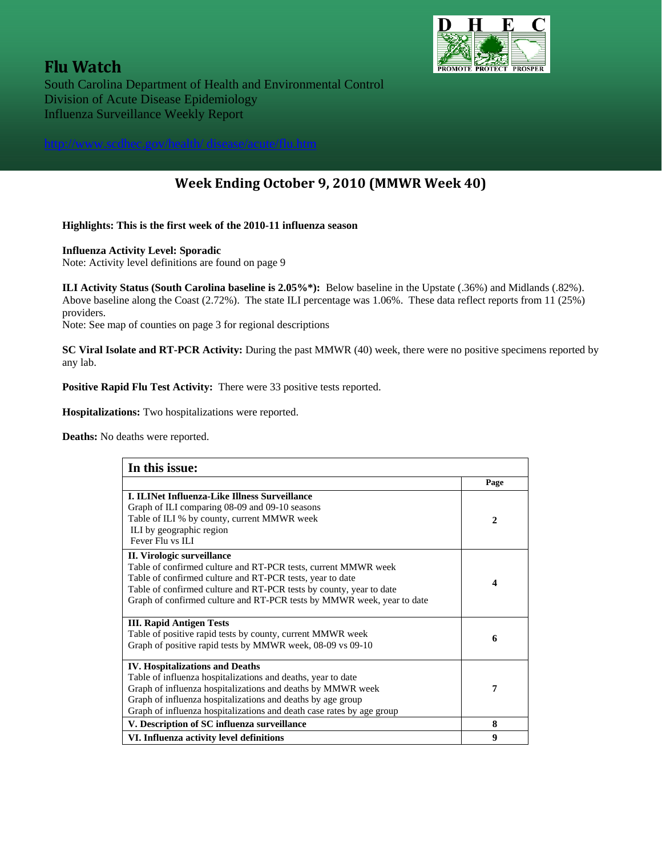# **Flu Watch**<br> **South Carolina Department of Health and Environmental Control**  Division of Acute Disease Epidemiology Influenza Surveillance Weekly Report

## **Week Ending October 9, 2010 (MMWR Week 40)**

#### **Highlights: This is the first week of the 2010-11 influenza season**

#### **Influenza Activity Level: Sporadic**

Note: Activity level definitions are found on page 9

**ILI Activity Status (South Carolina baseline is 2.05%\*):** Below baseline in the Upstate (.36%) and Midlands (.82%). Above baseline along the Coast (2.72%). The state ILI percentage was 1.06%. These data reflect reports from 11 (25%) providers.

Note: See map of counties on page 3 for regional descriptions

**SC Viral Isolate and RT-PCR Activity:** During the past MMWR (40) week, there were no positive specimens reported by any lab.

**Positive Rapid Flu Test Activity:** There were 33 positive tests reported.

**Hospitalizations:** Two hospitalizations were reported.

**Deaths:** No deaths were reported.

| In this issue:                                                                                                                                                                                                                                                                                                |                  |  |
|---------------------------------------------------------------------------------------------------------------------------------------------------------------------------------------------------------------------------------------------------------------------------------------------------------------|------------------|--|
|                                                                                                                                                                                                                                                                                                               | Page             |  |
| <b>I. ILINet Influenza-Like Illness Surveillance</b><br>Graph of ILI comparing 08-09 and 09-10 seasons<br>Table of ILI % by county, current MMWR week<br>ILI by geographic region<br>Fever Flu vs ILI                                                                                                         | $\mathbf{2}$     |  |
| II. Virologic surveillance<br>Table of confirmed culture and RT-PCR tests, current MMWR week<br>Table of confirmed culture and RT-PCR tests, year to date<br>Table of confirmed culture and RT-PCR tests by county, year to date<br>Graph of confirmed culture and RT-PCR tests by MMWR week, year to date    | $\boldsymbol{4}$ |  |
| <b>III. Rapid Antigen Tests</b><br>Table of positive rapid tests by county, current MMWR week<br>Graph of positive rapid tests by MMWR week, 08-09 vs 09-10                                                                                                                                                   | 6                |  |
| <b>IV. Hospitalizations and Deaths</b><br>Table of influenza hospitalizations and deaths, year to date<br>Graph of influenza hospitalizations and deaths by MMWR week<br>Graph of influenza hospitalizations and deaths by age group<br>Graph of influenza hospitalizations and death case rates by age group | 7                |  |
| V. Description of SC influenza surveillance                                                                                                                                                                                                                                                                   | 8                |  |
| VI. Influenza activity level definitions                                                                                                                                                                                                                                                                      | 9                |  |

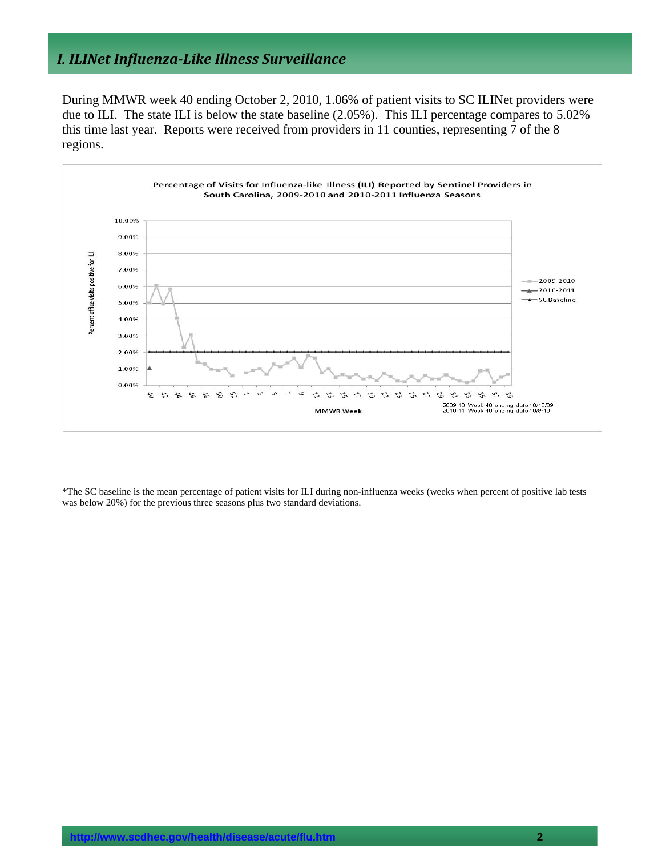### *I. ILINet InfluenzaLike Illness Surveillance*

During MMWR week 40 ending October 2, 2010, 1.06% of patient visits to SC ILINet providers were due to ILI. The state ILI is below the state baseline (2.05%). This ILI percentage compares to 5.02% this time last year. Reports were received from providers in 11 counties, representing 7 of the 8 regions.



\*The SC baseline is the mean percentage of patient visits for ILI during non-influenza weeks (weeks when percent of positive lab tests was below 20%) for the previous three seasons plus two standard deviations.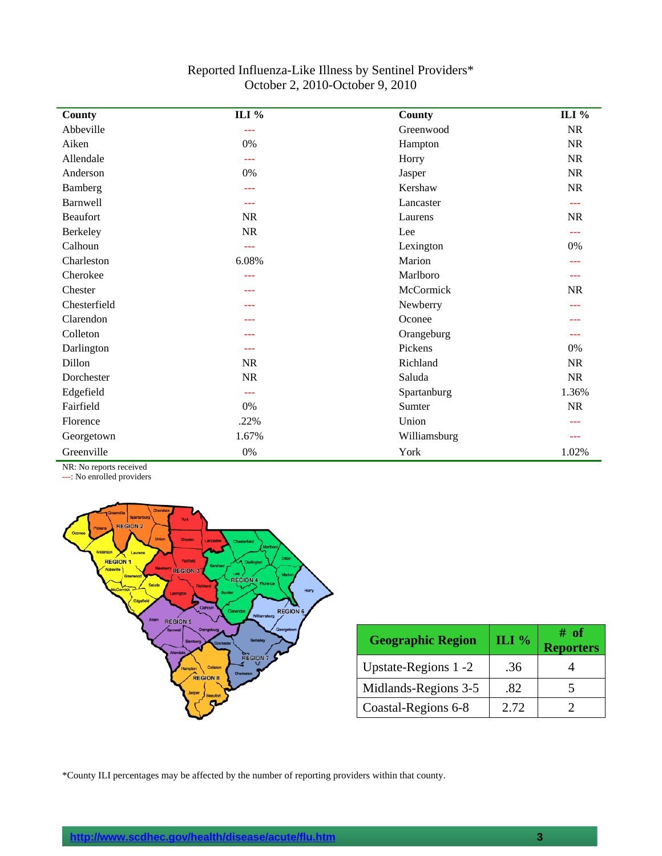#### Reported Influenza-Like Illness by Sentinel Providers\* October 2, 2010-October 9, 2010

| County          | ILI $%$   | County       | ILI %     |
|-----------------|-----------|--------------|-----------|
| Abbeville       | $- - -$   | Greenwood    | NR        |
| Aiken           | 0%        | Hampton      | <b>NR</b> |
| Allendale       | $- - -$   | Horry        | <b>NR</b> |
| Anderson        | 0%        | Jasper       | NR        |
| Bamberg         | ---       | Kershaw      | <b>NR</b> |
| <b>Barnwell</b> | ---       | Lancaster    | ---       |
| <b>Beaufort</b> | <b>NR</b> | Laurens      | <b>NR</b> |
| Berkeley        | NR        | Lee          | $---$     |
| Calhoun         | aaa       | Lexington    | 0%        |
| Charleston      | 6.08%     | Marion       |           |
| Cherokee        | $- - -$   | Marlboro     | ---       |
| Chester         | ---       | McCormick    | <b>NR</b> |
| Chesterfield    | ---       | Newberry     |           |
| Clarendon       | ---       | Oconee       |           |
| Colleton        | ---       | Orangeburg   | ---       |
| Darlington      | ---       | Pickens      | 0%        |
| Dillon          | <b>NR</b> | Richland     | <b>NR</b> |
| Dorchester      | $\rm NR$  | Saluda       | NR        |
| Edgefield       | ---       | Spartanburg  | 1.36%     |
| Fairfield       | 0%        | Sumter       | <b>NR</b> |
| Florence        | .22%      | Union        |           |
| Georgetown      | 1.67%     | Williamsburg | ---       |
| Greenville      | $0\%$     | York         | 1.02%     |

NR: No reports received

---: No enrolled providers



| <b>Geographic Region</b> | ILI % | # of<br><b>Reporters</b> |
|--------------------------|-------|--------------------------|
| Upstate-Regions 1 -2     | .36   |                          |
| Midlands-Regions 3-5     | .82   |                          |
| Coastal-Regions 6-8      | 2.72  |                          |

\*County ILI percentages may be affected by the number of reporting providers within that county.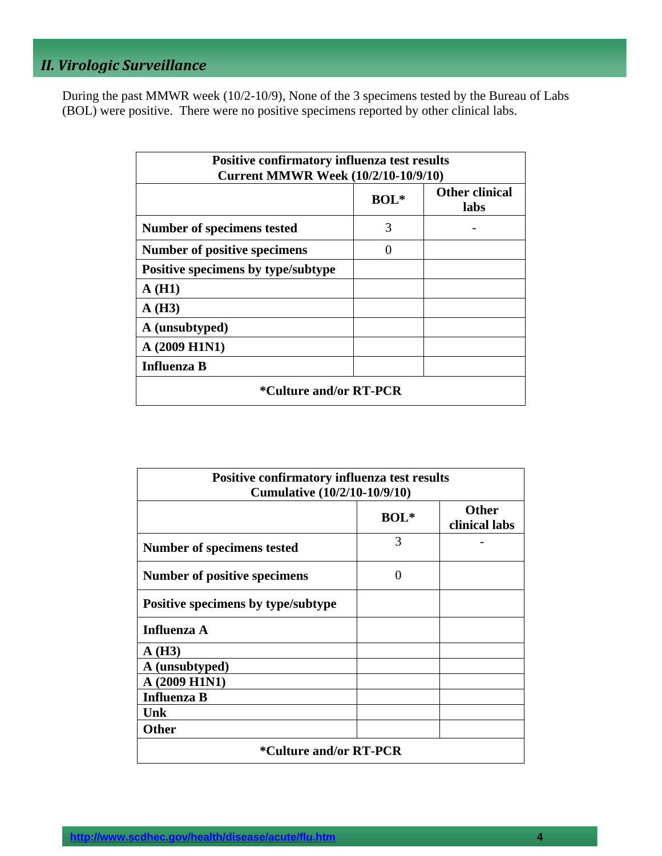## *II. Virologic Surveillance*

During the past MMWR week (10/2-10/9), None of the 3 specimens tested by the Bureau of Labs (BOL) were positive. There were no positive specimens reported by other clinical labs.

| <b>Positive confirmatory influenza test results</b><br><b>Current MMWR Week (10/2/10-10/9/10)</b> |        |                               |  |  |  |
|---------------------------------------------------------------------------------------------------|--------|-------------------------------|--|--|--|
|                                                                                                   | $BOL*$ | <b>Other clinical</b><br>labs |  |  |  |
| Number of specimens tested                                                                        | 3      |                               |  |  |  |
| ∩<br>Number of positive specimens                                                                 |        |                               |  |  |  |
| Positive specimens by type/subtype                                                                |        |                               |  |  |  |
| A(H1)                                                                                             |        |                               |  |  |  |
| A(H3)                                                                                             |        |                               |  |  |  |
| A (unsubtyped)                                                                                    |        |                               |  |  |  |
| A (2009 H1N1)                                                                                     |        |                               |  |  |  |
| <b>Influenza B</b>                                                                                |        |                               |  |  |  |
| *Culture and/or RT-PCR                                                                            |        |                               |  |  |  |

| <b>Positive confirmatory influenza test results</b><br><b>Cumulative (10/2/10-10/9/10)</b> |                   |                               |  |  |
|--------------------------------------------------------------------------------------------|-------------------|-------------------------------|--|--|
|                                                                                            | $BOL*$            | <b>Other</b><br>clinical labs |  |  |
| Number of specimens tested                                                                 | 3                 |                               |  |  |
| Number of positive specimens                                                               | $\mathbf{\Omega}$ |                               |  |  |
| Positive specimens by type/subtype                                                         |                   |                               |  |  |
| <b>Influenza A</b>                                                                         |                   |                               |  |  |
| A(H3)                                                                                      |                   |                               |  |  |
| A (unsubtyped)                                                                             |                   |                               |  |  |
| A (2009 H1N1)                                                                              |                   |                               |  |  |
| <b>Influenza B</b>                                                                         |                   |                               |  |  |
| <b>Unk</b>                                                                                 |                   |                               |  |  |
| <b>Other</b>                                                                               |                   |                               |  |  |
| <i>*</i> Culture and/or RT-PCR                                                             |                   |                               |  |  |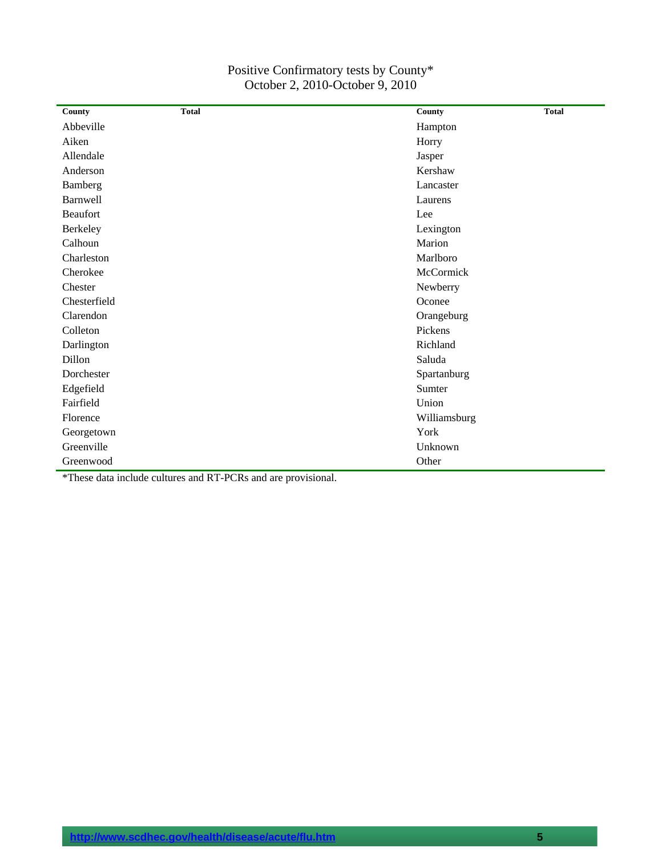| Positive Confirmatory tests by County* |
|----------------------------------------|
| October 2, 2010-October 9, 2010        |

| County          | <b>Total</b> | County       | <b>Total</b> |
|-----------------|--------------|--------------|--------------|
| Abbeville       |              | Hampton      |              |
| Aiken           |              | Horry        |              |
| Allendale       |              | Jasper       |              |
| Anderson        |              | Kershaw      |              |
| Bamberg         |              | Lancaster    |              |
| Barnwell        |              | Laurens      |              |
| <b>Beaufort</b> |              | Lee          |              |
| Berkeley        |              | Lexington    |              |
| Calhoun         |              | Marion       |              |
| Charleston      |              | Marlboro     |              |
| Cherokee        |              | McCormick    |              |
| Chester         |              | Newberry     |              |
| Chesterfield    |              | Oconee       |              |
| Clarendon       |              | Orangeburg   |              |
| Colleton        |              | Pickens      |              |
| Darlington      |              | Richland     |              |
| Dillon          |              | Saluda       |              |
| Dorchester      |              | Spartanburg  |              |
| Edgefield       |              | Sumter       |              |
| Fairfield       |              | Union        |              |
| Florence        |              | Williamsburg |              |
| Georgetown      |              | York         |              |
| Greenville      |              | Unknown      |              |
| Greenwood       |              | Other        |              |

\*These data include cultures and RT-PCRs and are provisional.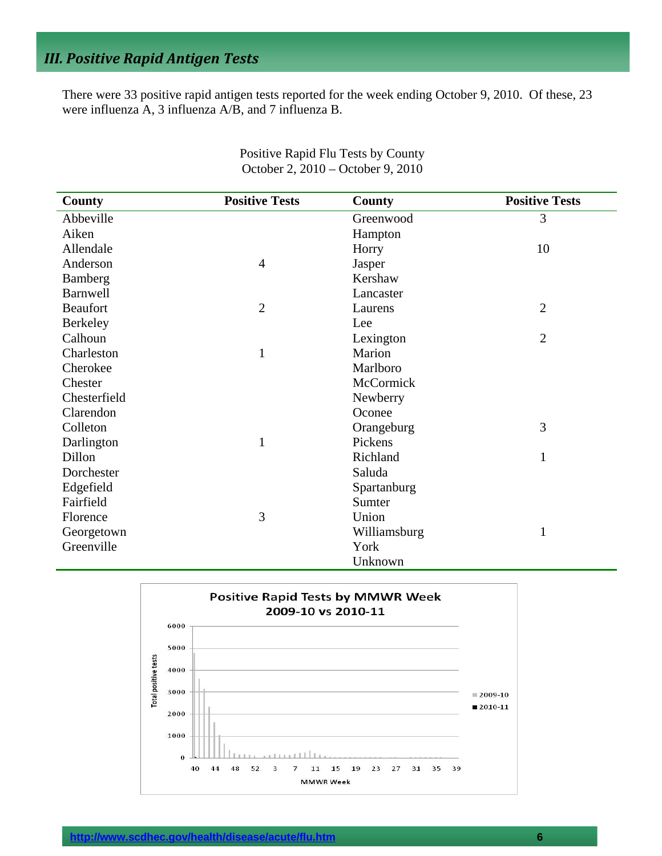## *III. Positive Rapid Antigen Tests*

There were 33 positive rapid antigen tests reported for the week ending October 9, 2010. Of these, 23 were influenza A, 3 influenza A/B, and 7 influenza B.

| <b>County</b>   | <b>Positive Tests</b> | County       | <b>Positive Tests</b> |
|-----------------|-----------------------|--------------|-----------------------|
| Abbeville       |                       | Greenwood    | 3                     |
| Aiken           |                       | Hampton      |                       |
| Allendale       |                       | Horry        | 10                    |
| Anderson        | $\overline{4}$        | Jasper       |                       |
| Bamberg         |                       | Kershaw      |                       |
| <b>Barnwell</b> |                       | Lancaster    |                       |
| <b>Beaufort</b> | $\overline{2}$        | Laurens      | $\overline{2}$        |
| <b>Berkeley</b> |                       | Lee          |                       |
| Calhoun         |                       | Lexington    | $\overline{2}$        |
| Charleston      | $\mathbf{1}$          | Marion       |                       |
| Cherokee        |                       | Marlboro     |                       |
| Chester         |                       | McCormick    |                       |
| Chesterfield    |                       | Newberry     |                       |
| Clarendon       |                       | Oconee       |                       |
| Colleton        |                       | Orangeburg   | 3                     |
| Darlington      | $\mathbf{1}$          | Pickens      |                       |
| Dillon          |                       | Richland     | 1                     |
| Dorchester      |                       | Saluda       |                       |
| Edgefield       |                       | Spartanburg  |                       |
| Fairfield       |                       | Sumter       |                       |
| Florence        | 3                     | Union        |                       |
| Georgetown      |                       | Williamsburg | $\mathbf{1}$          |
| Greenville      |                       | York         |                       |
|                 |                       | Unknown      |                       |

Positive Rapid Flu Tests by County October 2, 2010 – October 9, 2010

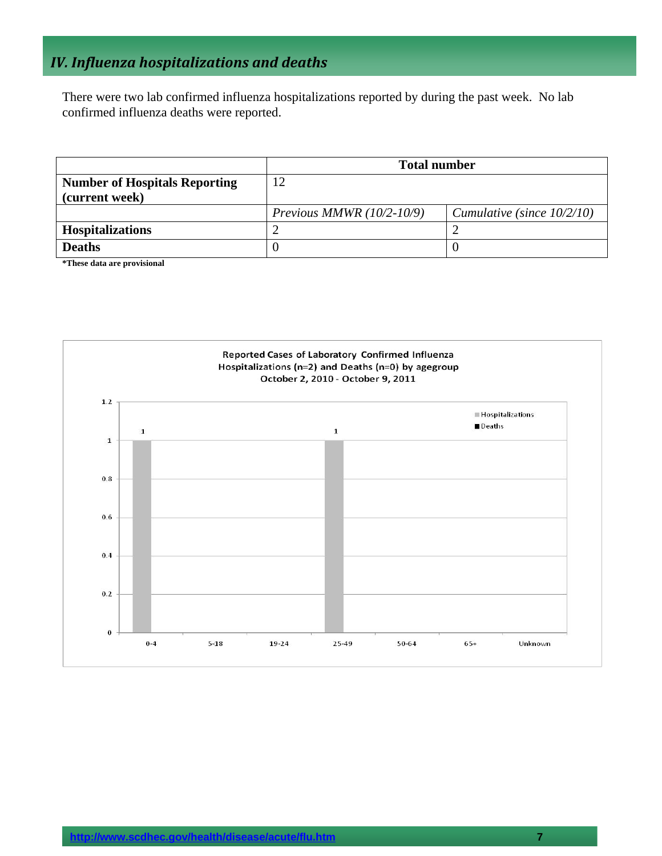## *IV. Influenza hospitalizations and deaths*

There were two lab confirmed influenza hospitalizations reported by during the past week. No lab confirmed influenza deaths were reported.

|                                      | <b>Total number</b>         |                               |  |
|--------------------------------------|-----------------------------|-------------------------------|--|
| <b>Number of Hospitals Reporting</b> | 12                          |                               |  |
| (current week)                       |                             |                               |  |
|                                      | Previous MMWR $(10/2-10/9)$ | Cumulative (since $10/2/10$ ) |  |
| <b>Hospitalizations</b>              |                             |                               |  |
| <b>Deaths</b>                        |                             |                               |  |

**\*These data are provisional** 

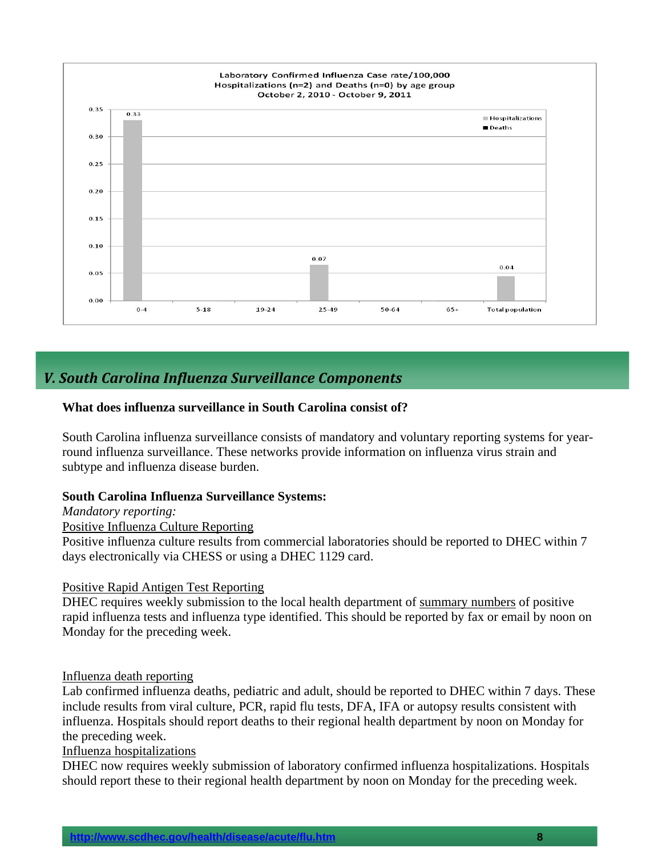

### *V. South Carolina Influenza Surveillance Components*

#### **What does influenza surveillance in South Carolina consist of?**

South Carolina influenza surveillance consists of mandatory and voluntary reporting systems for yearround influenza surveillance. These networks provide information on influenza virus strain and subtype and influenza disease burden.

#### **South Carolina Influenza Surveillance Systems:**

*Mandatory reporting:* 

#### Positive Influenza Culture Reporting

Positive influenza culture results from commercial laboratories should be reported to DHEC within 7 days electronically via CHESS or using a DHEC 1129 card.

#### Positive Rapid Antigen Test Reporting

DHEC requires weekly submission to the local health department of summary numbers of positive rapid influenza tests and influenza type identified. This should be reported by fax or email by noon on Monday for the preceding week.

#### Influenza death reporting

Lab confirmed influenza deaths, pediatric and adult, should be reported to DHEC within 7 days. These include results from viral culture, PCR, rapid flu tests, DFA, IFA or autopsy results consistent with influenza. Hospitals should report deaths to their regional health department by noon on Monday for the preceding week.

#### Influenza hospitalizations

DHEC now requires weekly submission of laboratory confirmed influenza hospitalizations. Hospitals should report these to their regional health department by noon on Monday for the preceding week.